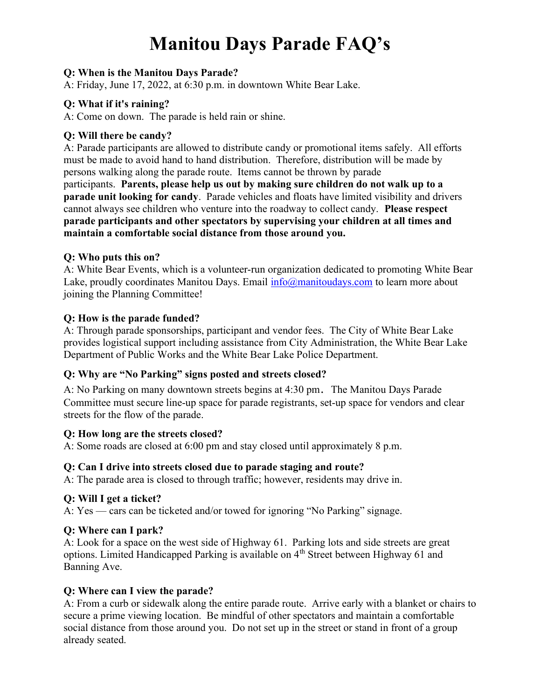# Manitou Days Parade FAQ's

## Q: When is the Manitou Days Parade?

A: Friday, June 17, 2022, at 6:30 p.m. in downtown White Bear Lake.

## Q: What if it's raining?

A: Come on down. The parade is held rain or shine.

# Q: Will there be candy?

A: Parade participants are allowed to distribute candy or promotional items safely. All efforts must be made to avoid hand to hand distribution. Therefore, distribution will be made by persons walking along the parade route. Items cannot be thrown by parade participants. Parents, please help us out by making sure children do not walk up to a parade unit looking for candy. Parade vehicles and floats have limited visibility and drivers cannot always see children who venture into the roadway to collect candy. Please respect parade participants and other spectators by supervising your children at all times and maintain a comfortable social distance from those around you.

## Q: Who puts this on?

A: White Bear Events, which is a volunteer-run organization dedicated to promoting White Bear Lake, proudly coordinates Manitou Days. Email  $info(\hat{\omega})$ manitoudays.com to learn more about joining the Planning Committee!

# Q: How is the parade funded?

A: Through parade sponsorships, participant and vendor fees. The City of White Bear Lake provides logistical support including assistance from City Administration, the White Bear Lake Department of Public Works and the White Bear Lake Police Department.

# Q: Why are "No Parking" signs posted and streets closed?

A: No Parking on many downtown streets begins at 4:30 pm. The Manitou Days Parade Committee must secure line-up space for parade registrants, set-up space for vendors and clear streets for the flow of the parade.

## Q: How long are the streets closed?

A: Some roads are closed at 6:00 pm and stay closed until approximately 8 p.m.

## Q: Can I drive into streets closed due to parade staging and route?

A: The parade area is closed to through traffic; however, residents may drive in.

# Q: Will I get a ticket?

A: Yes — cars can be ticketed and/or towed for ignoring "No Parking" signage.

# Q: Where can I park?

A: Look for a space on the west side of Highway 61. Parking lots and side streets are great options. Limited Handicapped Parking is available on 4th Street between Highway 61 and Banning Ave.

# Q: Where can I view the parade?

A: From a curb or sidewalk along the entire parade route. Arrive early with a blanket or chairs to secure a prime viewing location. Be mindful of other spectators and maintain a comfortable social distance from those around you. Do not set up in the street or stand in front of a group already seated.